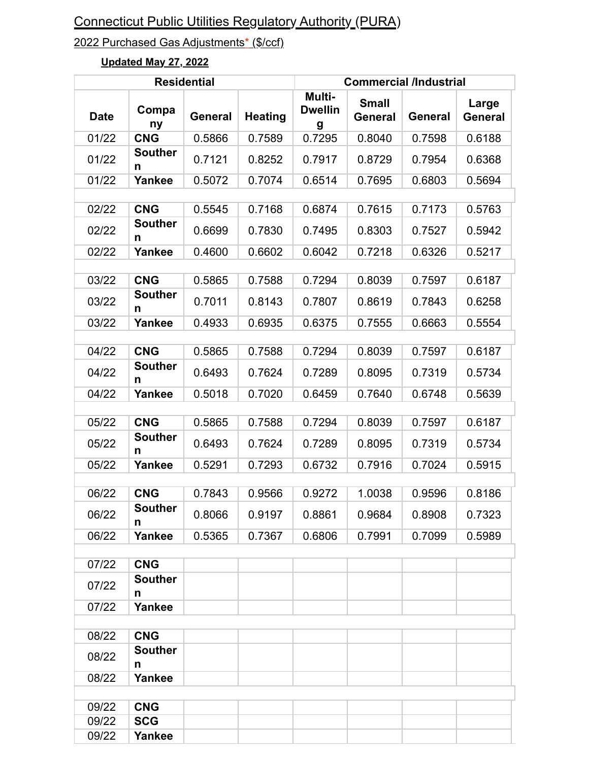## 2022 Purchased Gas Adjustments\* (\$/ccf)

#### **Residential Commercial /Industrial Date Compa ny General Heating Multi-Dwellin g Small General General Large General** 01/22 **CNG** 0.5866 0.7589 0.7295 0.8040 0.7598 0.6188 01/22 **Souther n**   $0.7121$  0.8252 0.7917 0.8729 0.7954 0.6368 01/22 | **Yankee** | 0.5072 | 0.7074 | 0.6514 | 0.7695 | 0.6803 | 0.5694 02/22 **CNG** 0.5545 0.7168 0.6874 0.7615 0.7173 0.5763 02/22 **Souther n** 0.6699 0.7830 0.7495 0.8303 0.7527 0.5942 02/22 | **Yankee** | 0.4600 | 0.6602 | 0.6042 | 0.7218 | 0.6326 | 0.5217 03/22 **CNG** 0.5865 0.7588 0.7294 0.8039 0.7597 0.6187 03/22 **Souther n**  $0.7011$  0.8143 0.7807 0.8619 0.7843 0.6258 03/22 | **Yankee** | 0.4933 | 0.6935 | 0.6375 | 0.7555 | 0.6663 | 0.5554 04/22 **CNG** 0.5865 0.7588 0.7294 0.8039 0.7597 0.6187 04/22 **Souther n**  0.6493 0.7624 0.7289 0.8095 0.7319 0.5734 04/22 **Yankee** | 0.5018 | 0.7020 | 0.6459 | 0.7640 | 0.6748 | 0.5639 05/22 **CNG** 0.5865 0.7588 0.7294 0.8039 0.7597 0.6187 05/22 **Souther n** 0.6493 0.7624 0.7289 0.8095 0.7319 0.5734 05/22 | **Yankee** | 0.5291 | 0.7293 | 0.6732 | 0.7916 | 0.7024 | 0.5915 06/22 **CNG** 0.7843 0.9566 0.9272 1.0038 0.9596 0.8186 06/22 **Souther n** 0.8066 0.9197 0.8861 0.9684 0.8908 0.7323 06/22 **Yankee** 0.5365 0.7367 0.6806 0.7991 0.7099 0.5989 07/22 **CNG** 07/22 **Souther n** 07/22 **Yankee** 08/22 **CNG** 08/22 **Souther n** 08/22 **Yankee** 09/22 **CNG** 09/22 **SCG** 09/22 **Yankee**

## **Updated May 27, 2022**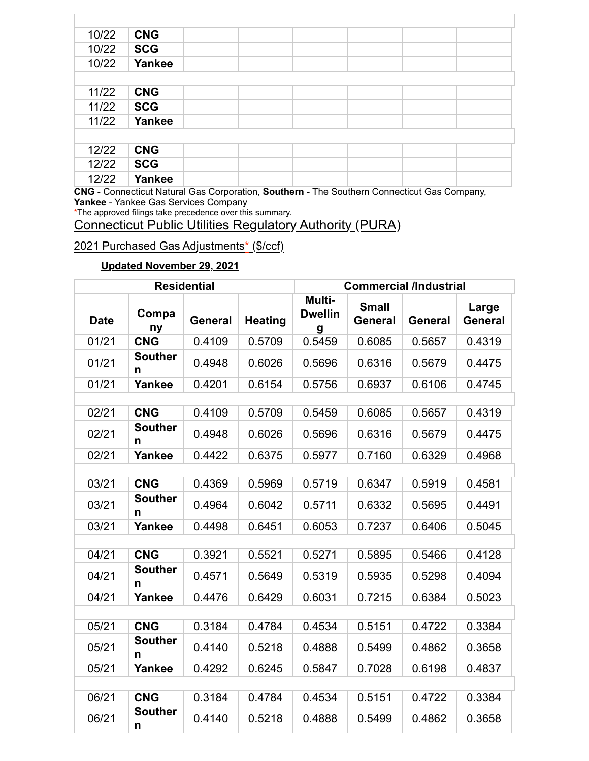| 10/22 | <b>CNG</b> |  |                                                                                       |  |
|-------|------------|--|---------------------------------------------------------------------------------------|--|
| 10/22 | <b>SCG</b> |  |                                                                                       |  |
| 10/22 | Yankee     |  |                                                                                       |  |
|       |            |  |                                                                                       |  |
| 11/22 | <b>CNG</b> |  |                                                                                       |  |
| 11/22 | <b>SCG</b> |  |                                                                                       |  |
| 11/22 | Yankee     |  |                                                                                       |  |
|       |            |  |                                                                                       |  |
| 12/22 | <b>CNG</b> |  |                                                                                       |  |
| 12/22 | <b>SCG</b> |  |                                                                                       |  |
| 12/22 | Yankee     |  |                                                                                       |  |
|       |            |  | CNC Connecticut Notural Cas Corneration Bouthome The Couthern Connecticut Cas Company |  |

\*The approved filings take precedence over this summary.

## Connecticut Public Utilities Regulatory Authority (PURA)

## 2021 Purchased Gas Adjustments\* (\$/ccf)

## **Updated November 29, 2021**

|             |                     | <b>Residential</b> |                | <b>Commercial /Industrial</b> |                                |                |                  |
|-------------|---------------------|--------------------|----------------|-------------------------------|--------------------------------|----------------|------------------|
| <b>Date</b> | Compa<br>ny         | General            | <b>Heating</b> | Multi-<br><b>Dwellin</b><br>g | <b>Small</b><br><b>General</b> | <b>General</b> | Large<br>General |
| 01/21       | <b>CNG</b>          | 0.4109             | 0.5709         | 0.5459                        | 0.6085                         | 0.5657         | 0.4319           |
| 01/21       | <b>Souther</b><br>n | 0.4948             | 0.6026         | 0.5696                        | 0.6316                         | 0.5679         | 0.4475           |
| 01/21       | Yankee              | 0.4201             | 0.6154         | 0.5756                        | 0.6937                         | 0.6106         | 0.4745           |
|             |                     |                    |                |                               |                                |                |                  |
| 02/21       | <b>CNG</b>          | 0.4109             | 0.5709         | 0.5459                        | 0.6085                         | 0.5657         | 0.4319           |
| 02/21       | <b>Souther</b><br>n | 0.4948             | 0.6026         | 0.5696                        | 0.6316                         | 0.5679         | 0.4475           |
| 02/21       | Yankee              | 0.4422             | 0.6375         | 0.5977                        | 0.7160                         | 0.6329         | 0.4968           |
|             |                     |                    |                |                               |                                |                |                  |
| 03/21       | <b>CNG</b>          | 0.4369             | 0.5969         | 0.5719                        | 0.6347                         | 0.5919         | 0.4581           |
| 03/21       | <b>Souther</b><br>n | 0.4964             | 0.6042         | 0.5711                        | 0.6332                         | 0.5695         | 0.4491           |
| 03/21       | <b>Yankee</b>       | 0.4498             | 0.6451         | 0.6053                        | 0.7237                         | 0.6406         | 0.5045           |
|             |                     |                    |                |                               |                                |                |                  |
| 04/21       | <b>CNG</b>          | 0.3921             | 0.5521         | 0.5271                        | 0.5895                         | 0.5466         | 0.4128           |
| 04/21       | <b>Souther</b><br>n | 0.4571             | 0.5649         | 0.5319                        | 0.5935                         | 0.5298         | 0.4094           |
| 04/21       | <b>Yankee</b>       | 0.4476             | 0.6429         | 0.6031                        | 0.7215                         | 0.6384         | 0.5023           |
|             |                     |                    |                |                               |                                |                |                  |
| 05/21       | <b>CNG</b>          | 0.3184             | 0.4784         | 0.4534                        | 0.5151                         | 0.4722         | 0.3384           |
| 05/21       | <b>Souther</b><br>n | 0.4140             | 0.5218         | 0.4888                        | 0.5499                         | 0.4862         | 0.3658           |
| 05/21       | Yankee              | 0.4292             | 0.6245         | 0.5847                        | 0.7028                         | 0.6198         | 0.4837           |
|             |                     |                    |                |                               |                                |                |                  |
| 06/21       | <b>CNG</b>          | 0.3184             | 0.4784         | 0.4534                        | 0.5151                         | 0.4722         | 0.3384           |
| 06/21       | <b>Souther</b><br>n | 0.4140             | 0.5218         | 0.4888                        | 0.5499                         | 0.4862         | 0.3658           |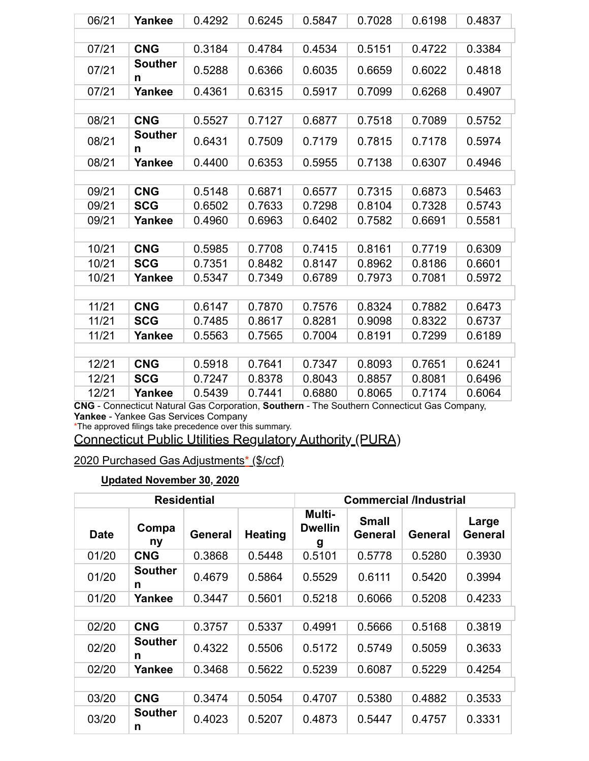| 06/21 | Yankee              | 0.4292 | 0.6245 | 0.5847 | 0.7028 | 0.6198 | 0.4837 |  |  |
|-------|---------------------|--------|--------|--------|--------|--------|--------|--|--|
|       |                     |        |        |        |        |        |        |  |  |
| 07/21 | <b>CNG</b>          | 0.3184 | 0.4784 | 0.4534 | 0.5151 | 0.4722 | 0.3384 |  |  |
| 07/21 | <b>Souther</b><br>n | 0.5288 | 0.6366 | 0.6035 | 0.6659 | 0.6022 | 0.4818 |  |  |
| 07/21 | Yankee              | 0.4361 | 0.6315 | 0.5917 | 0.7099 | 0.6268 | 0.4907 |  |  |
|       |                     |        |        |        |        |        |        |  |  |
| 08/21 | <b>CNG</b>          | 0.5527 | 0.7127 | 0.6877 | 0.7518 | 0.7089 | 0.5752 |  |  |
| 08/21 | <b>Souther</b><br>n | 0.6431 | 0.7509 | 0.7179 | 0.7815 | 0.7178 | 0.5974 |  |  |
| 08/21 | Yankee              | 0.4400 | 0.6353 | 0.5955 | 0.7138 | 0.6307 | 0.4946 |  |  |
|       |                     |        |        |        |        |        |        |  |  |
| 09/21 | <b>CNG</b>          | 0.5148 | 0.6871 | 0.6577 | 0.7315 | 0.6873 | 0.5463 |  |  |
| 09/21 | <b>SCG</b>          | 0.6502 | 0.7633 | 0.7298 | 0.8104 | 0.7328 | 0.5743 |  |  |
| 09/21 | Yankee              | 0.4960 | 0.6963 | 0.6402 | 0.7582 | 0.6691 | 0.5581 |  |  |
|       |                     |        |        |        |        |        |        |  |  |
| 10/21 | <b>CNG</b>          | 0.5985 | 0.7708 | 0.7415 | 0.8161 | 0.7719 | 0.6309 |  |  |
| 10/21 | <b>SCG</b>          | 0.7351 | 0.8482 | 0.8147 | 0.8962 | 0.8186 | 0.6601 |  |  |
| 10/21 | Yankee              | 0.5347 | 0.7349 | 0.6789 | 0.7973 | 0.7081 | 0.5972 |  |  |
|       |                     |        |        |        |        |        |        |  |  |
| 11/21 | <b>CNG</b>          | 0.6147 | 0.7870 | 0.7576 | 0.8324 | 0.7882 | 0.6473 |  |  |
| 11/21 | <b>SCG</b>          | 0.7485 | 0.8617 | 0.8281 | 0.9098 | 0.8322 | 0.6737 |  |  |
| 11/21 | Yankee              | 0.5563 | 0.7565 | 0.7004 | 0.8191 | 0.7299 | 0.6189 |  |  |
|       |                     |        |        |        |        |        |        |  |  |
| 12/21 | <b>CNG</b>          | 0.5918 | 0.7641 | 0.7347 | 0.8093 | 0.7651 | 0.6241 |  |  |
| 12/21 | <b>SCG</b>          | 0.7247 | 0.8378 | 0.8043 | 0.8857 | 0.8081 | 0.6496 |  |  |
| 12/21 | Yankee              | 0.5439 | 0.7441 | 0.6880 | 0.8065 | 0.7174 | 0.6064 |  |  |

\*The approved filings take precedence over this summary.

Connecticut Public Utilities Regulatory Authority (PURA)

2020 Purchased Gas Adjustments\* (\$/ccf)

#### **Updated November 30, 2020**

| <b>Residential</b> |                     |                |                | <b>Commercial /Industrial</b> |                         |         |                  |  |
|--------------------|---------------------|----------------|----------------|-------------------------------|-------------------------|---------|------------------|--|
| <b>Date</b>        | Compa<br>ny         | <b>General</b> | <b>Heating</b> | Multi-<br><b>Dwellin</b><br>g | <b>Small</b><br>General | General | Large<br>General |  |
| 01/20              | <b>CNG</b>          | 0.3868         | 0.5448         | 0.5101                        | 0.5778                  | 0.5280  | 0.3930           |  |
| 01/20              | <b>Souther</b><br>n | 0.4679         | 0.5864         | 0.5529                        | 0.6111                  | 0.5420  | 0.3994           |  |
| 01/20              | Yankee              | 0.3447         | 0.5601         | 0.5218                        | 0.6066                  | 0.5208  | 0.4233           |  |
|                    |                     |                |                |                               |                         |         |                  |  |
| 02/20              | <b>CNG</b>          | 0.3757         | 0.5337         | 0.4991                        | 0.5666                  | 0.5168  | 0.3819           |  |
| 02/20              | <b>Souther</b><br>n | 0.4322         | 0.5506         | 0.5172                        | 0.5749                  | 0.5059  | 0.3633           |  |
| 02/20              | Yankee              | 0.3468         | 0.5622         | 0.5239                        | 0.6087                  | 0.5229  | 0.4254           |  |
|                    |                     |                |                |                               |                         |         |                  |  |
| 03/20              | <b>CNG</b>          | 0.3474         | 0.5054         | 0.4707                        | 0.5380                  | 0.4882  | 0.3533           |  |
| 03/20              | <b>Souther</b><br>n | 0.4023         | 0.5207         | 0.4873                        | 0.5447                  | 0.4757  | 0.3331           |  |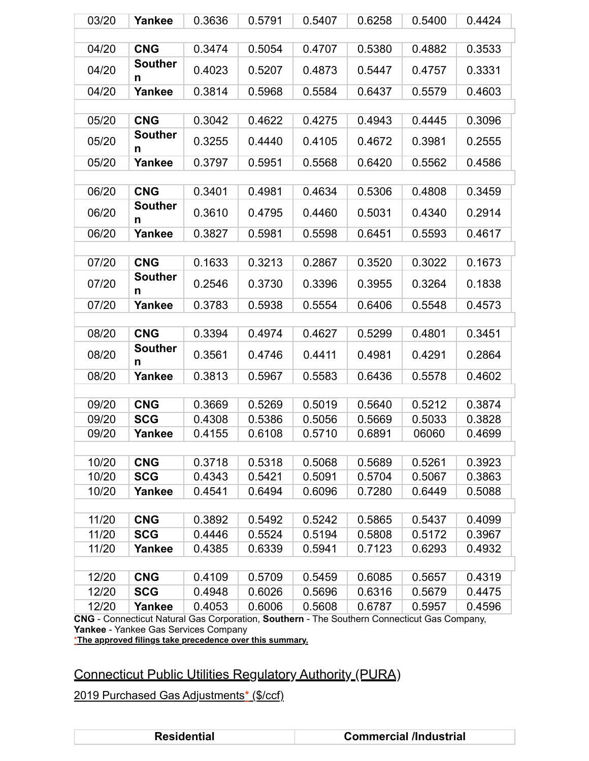| <b>CNG</b><br>04/20<br>0.5380<br>0.3474<br>0.5054<br>0.4707                                                                                                   | 0.3533<br>0.4882 |
|---------------------------------------------------------------------------------------------------------------------------------------------------------------|------------------|
|                                                                                                                                                               |                  |
|                                                                                                                                                               |                  |
| <b>Souther</b><br>04/20<br>0.4023<br>0.5207<br>0.4873<br>0.5447<br>n                                                                                          | 0.4757<br>0.3331 |
| 0.3814<br>04/20<br>Yankee<br>0.5968<br>0.5584<br>0.6437                                                                                                       | 0.5579<br>0.4603 |
|                                                                                                                                                               |                  |
| <b>CNG</b><br>05/20<br>0.3042<br>0.4622<br>0.4275<br>0.4943                                                                                                   | 0.4445<br>0.3096 |
| <b>Souther</b><br>05/20<br>0.3255<br>0.4440<br>0.4105<br>0.4672<br>n                                                                                          | 0.3981<br>0.2555 |
| Yankee<br>0.3797<br>05/20<br>0.5951<br>0.5568<br>0.6420                                                                                                       | 0.5562<br>0.4586 |
|                                                                                                                                                               |                  |
| 06/20<br><b>CNG</b><br>0.3401<br>0.4634<br>0.5306<br>0.4981                                                                                                   | 0.4808<br>0.3459 |
| <b>Souther</b><br>06/20<br>0.3610<br>0.4795<br>0.4460<br>0.5031<br>n                                                                                          | 0.4340<br>0.2914 |
| 06/20<br>Yankee<br>0.3827<br>0.5981<br>0.6451<br>0.5598                                                                                                       | 0.5593<br>0.4617 |
|                                                                                                                                                               |                  |
| 07/20<br><b>CNG</b><br>0.1633<br>0.3213<br>0.2867<br>0.3520                                                                                                   | 0.3022<br>0.1673 |
| <b>Souther</b><br>07/20<br>0.3955<br>0.2546<br>0.3730<br>0.3396<br>n                                                                                          | 0.1838<br>0.3264 |
| 07/20<br>Yankee<br>0.3783<br>0.6406<br>0.5938<br>0.5554                                                                                                       | 0.5548<br>0.4573 |
|                                                                                                                                                               |                  |
| 08/20<br><b>CNG</b><br>0.3394<br>0.4974<br>0.4627<br>0.5299                                                                                                   | 0.4801<br>0.3451 |
| <b>Souther</b><br>08/20<br>0.3561<br>0.4411<br>0.4981<br>0.4746<br>n                                                                                          | 0.4291<br>0.2864 |
| 08/20<br>Yankee<br>0.3813<br>0.6436<br>0.5967<br>0.5583                                                                                                       | 0.5578<br>0.4602 |
|                                                                                                                                                               |                  |
| 09/20<br><b>CNG</b><br>0.3669<br>0.5269<br>0.5019<br>0.5640                                                                                                   | 0.3874<br>0.5212 |
| 09/20<br><b>SCG</b><br>0.4308<br>0.5386<br>0.5056<br>0.5669                                                                                                   | 0.5033<br>0.3828 |
| 09/20<br>Yankee<br>0.4155<br>0.6108<br>0.5710<br>0.6891                                                                                                       | 06060<br>0.4699  |
| 10/20<br><b>CNG</b><br>0.3718<br>0.5318<br>0.5068<br>0.5689                                                                                                   | 0.5261<br>0.3923 |
| 10/20<br><b>SCG</b><br>0.4343<br>0.5421<br>0.5091<br>0.5704                                                                                                   | 0.5067<br>0.3863 |
| 10/20<br>Yankee<br>0.4541<br>0.6494<br>0.6096<br>0.7280                                                                                                       | 0.6449<br>0.5088 |
|                                                                                                                                                               |                  |
| 11/20<br><b>CNG</b><br>0.3892<br>0.5492<br>0.5242<br>0.5865                                                                                                   | 0.5437<br>0.4099 |
| 11/20<br><b>SCG</b><br>0.4446<br>0.5524<br>0.5194<br>0.5808                                                                                                   | 0.5172<br>0.3967 |
| 11/20<br>Yankee<br>0.4385<br>0.6339<br>0.5941<br>0.7123                                                                                                       | 0.6293<br>0.4932 |
|                                                                                                                                                               |                  |
| 12/20<br><b>CNG</b><br>0.4109<br>0.5709<br>0.6085<br>0.5459                                                                                                   | 0.4319<br>0.5657 |
| <b>SCG</b><br>12/20<br>0.4948<br>0.6026<br>0.6316<br>0.5696                                                                                                   | 0.5679<br>0.4475 |
| 12/20<br>Yankee<br>0.4053<br>0.6006<br>0.5608<br>0.6787<br>Connecticut Natural Cas Corneration, Southern, The Southern Connecticut Cas Company<br><b>CNIC</b> | 0.5957<br>0.4596 |

#### \***The approved filings take precedence over this summary.**

# Connecticut Public Utilities Regulatory Authority (PURA)

| Residential |
|-------------|
|             |
|             |
|             |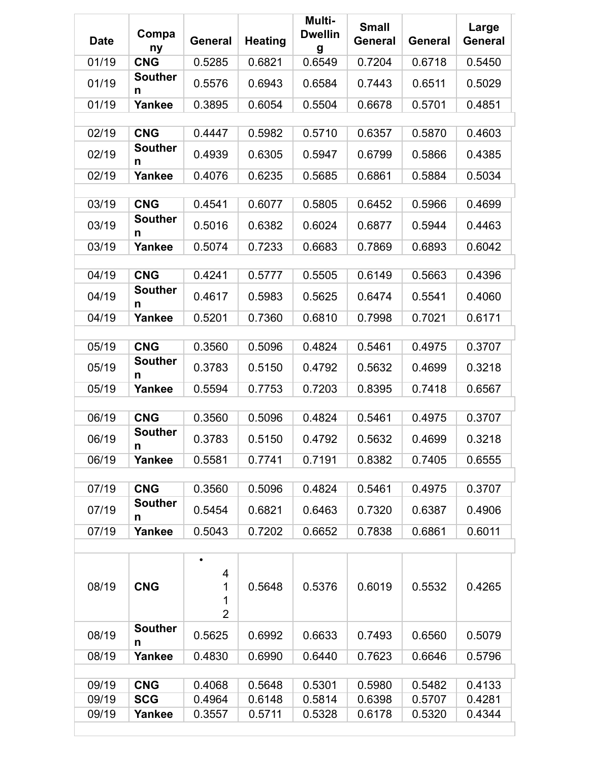| <b>Date</b>    | Compa<br>ny                  | <b>General</b>                | <b>Heating</b>   | Multi-<br><b>Dwellin</b><br>g | <b>Small</b><br><b>General</b> | <b>General</b>   | Large<br>General |
|----------------|------------------------------|-------------------------------|------------------|-------------------------------|--------------------------------|------------------|------------------|
| 01/19          | <b>CNG</b>                   | 0.5285                        | 0.6821           | 0.6549                        | 0.7204                         | 0.6718           | 0.5450           |
| 01/19          | <b>Souther</b><br>n          | 0.5576                        | 0.6943           | 0.6584                        | 0.7443                         | 0.6511           | 0.5029           |
| 01/19          | Yankee                       | 0.3895                        | 0.6054           | 0.5504                        | 0.6678                         | 0.5701           | 0.4851           |
|                |                              |                               |                  |                               |                                |                  |                  |
| 02/19          | <b>CNG</b><br><b>Souther</b> | 0.4447                        | 0.5982           | 0.5710                        | 0.6357                         | 0.5870           | 0.4603           |
| 02/19          | n                            | 0.4939                        | 0.6305           | 0.5947                        | 0.6799                         | 0.5866           | 0.4385           |
| 02/19          | Yankee                       | 0.4076                        | 0.6235           | 0.5685                        | 0.6861                         | 0.5884           | 0.5034           |
| 03/19          | <b>CNG</b>                   | 0.4541                        | 0.6077           | 0.5805                        | 0.6452                         | 0.5966           | 0.4699           |
|                | <b>Souther</b>               |                               |                  |                               |                                |                  |                  |
| 03/19          | n                            | 0.5016                        | 0.6382           | 0.6024                        | 0.6877                         | 0.5944           | 0.4463           |
| 03/19          | Yankee                       | 0.5074                        | 0.7233           | 0.6683                        | 0.7869                         | 0.6893           | 0.6042           |
| 04/19          | <b>CNG</b>                   | 0.4241                        | 0.5777           | 0.5505                        | 0.6149                         | 0.5663           | 0.4396           |
|                | <b>Souther</b>               |                               |                  |                               |                                |                  |                  |
| 04/19          | n                            | 0.4617                        | 0.5983           | 0.5625                        | 0.6474                         | 0.5541           | 0.4060           |
| 04/19          | Yankee                       | 0.5201                        | 0.7360           | 0.6810                        | 0.7998                         | 0.7021           | 0.6171           |
| 05/19          | <b>CNG</b>                   | 0.3560                        | 0.5096           | 0.4824                        | 0.5461                         | 0.4975           | 0.3707           |
| 05/19          | <b>Souther</b><br>n          | 0.3783                        | 0.5150           | 0.4792                        | 0.5632                         | 0.4699           | 0.3218           |
| 05/19          | Yankee                       | 0.5594                        | 0.7753           | 0.7203                        | 0.8395                         | 0.7418           | 0.6567           |
|                |                              |                               |                  |                               |                                |                  |                  |
| 06/19          | <b>CNG</b>                   | 0.3560                        | 0.5096           | 0.4824                        | 0.5461                         | 0.4975           | 0.3707           |
| 06/19          | <b>Souther</b><br>n          | 0.3783                        | 0.5150           | 0.4792                        | 0.5632                         | 0.4699           | 0.3218           |
| 06/19          | Yankee                       | 0.5581                        | 0.7741           | 0.7191                        | 0.8382                         | 0.7405           | 0.6555           |
|                | <b>CNG</b>                   |                               |                  |                               |                                |                  |                  |
| 07/19<br>07/19 | <b>Souther</b>               | 0.3560<br>0.5454              | 0.5096<br>0.6821 | 0.4824<br>0.6463              | 0.5461<br>0.7320               | 0.4975<br>0.6387 | 0.3707<br>0.4906 |
| 07/19          | n<br>Yankee                  | 0.5043                        | 0.7202           | 0.6652                        | 0.7838                         | 0.6861           | 0.6011           |
|                |                              |                               |                  |                               |                                |                  |                  |
| 08/19          | <b>CNG</b>                   | 4<br>1<br>1<br>$\overline{2}$ | 0.5648           | 0.5376                        | 0.6019                         | 0.5532           | 0.4265           |
| 08/19          | <b>Souther</b><br>n          | 0.5625                        | 0.6992           | 0.6633                        | 0.7493                         | 0.6560           | 0.5079           |
| 08/19          | Yankee                       | 0.4830                        | 0.6990           | 0.6440                        | 0.7623                         | 0.6646           | 0.5796           |
|                |                              |                               |                  |                               |                                |                  |                  |
| 09/19<br>09/19 | <b>CNG</b><br><b>SCG</b>     | 0.4068<br>0.4964              | 0.5648<br>0.6148 | 0.5301<br>0.5814              | 0.5980<br>0.6398               | 0.5482<br>0.5707 | 0.4133<br>0.4281 |
| 09/19          | Yankee                       | 0.3557                        | 0.5711           | 0.5328                        | 0.6178                         | 0.5320           | 0.4344           |
|                |                              |                               |                  |                               |                                |                  |                  |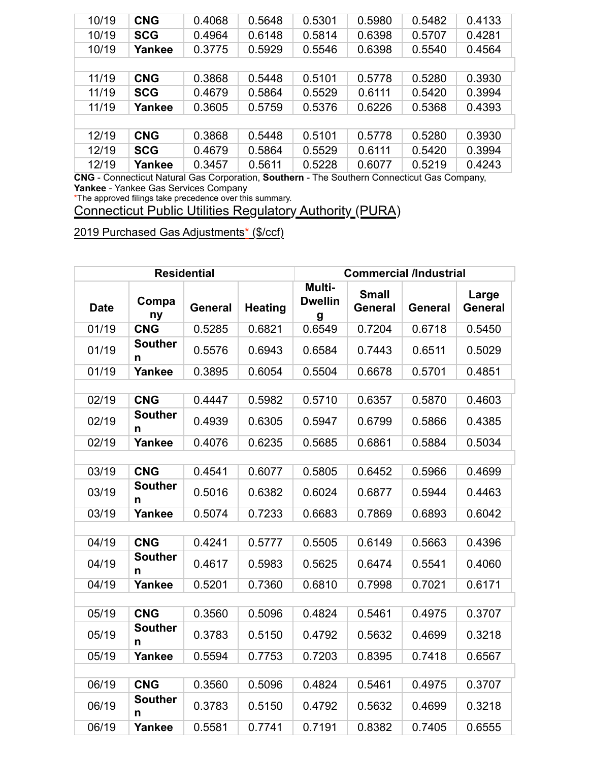| 10/19 | <b>CNG</b> | 0.4068 | 0.5648 | 0.5301 | 0.5980 | 0.5482 | 0.4133 |
|-------|------------|--------|--------|--------|--------|--------|--------|
| 10/19 | <b>SCG</b> | 0.4964 | 0.6148 | 0.5814 | 0.6398 | 0.5707 | 0.4281 |
| 10/19 | Yankee     | 0.3775 | 0.5929 | 0.5546 | 0.6398 | 0.5540 | 0.4564 |
|       |            |        |        |        |        |        |        |
| 11/19 | <b>CNG</b> | 0.3868 | 0.5448 | 0.5101 | 0.5778 | 0.5280 | 0.3930 |
| 11/19 | <b>SCG</b> | 0.4679 | 0.5864 | 0.5529 | 0.6111 | 0.5420 | 0.3994 |
| 11/19 | Yankee     | 0.3605 | 0.5759 | 0.5376 | 0.6226 | 0.5368 | 0.4393 |
|       |            |        |        |        |        |        |        |
| 12/19 | <b>CNG</b> | 0.3868 | 0.5448 | 0.5101 | 0.5778 | 0.5280 | 0.3930 |
| 12/19 | <b>SCG</b> | 0.4679 | 0.5864 | 0.5529 | 0.6111 | 0.5420 | 0.3994 |
| 12/19 | Yankee     | 0.3457 | 0.5611 | 0.5228 | 0.6077 | 0.5219 | 0.4243 |

\*The approved filings take precedence over this summary.

Connecticut Public Utilities Regulatory Authority (PURA)

| <b>Residential</b> |                     |                |                | <b>Commercial /Industrial</b> |                                |                |                         |
|--------------------|---------------------|----------------|----------------|-------------------------------|--------------------------------|----------------|-------------------------|
| <b>Date</b>        | Compa<br>ny         | <b>General</b> | <b>Heating</b> | Multi-<br><b>Dwellin</b><br>g | <b>Small</b><br><b>General</b> | <b>General</b> | Large<br><b>General</b> |
| 01/19              | <b>CNG</b>          | 0.5285         | 0.6821         | 0.6549                        | 0.7204                         | 0.6718         | 0.5450                  |
| 01/19              | <b>Souther</b><br>n | 0.5576         | 0.6943         | 0.6584                        | 0.7443                         | 0.6511         | 0.5029                  |
| 01/19              | Yankee              | 0.3895         | 0.6054         | 0.5504                        | 0.6678                         | 0.5701         | 0.4851                  |
|                    |                     |                |                |                               |                                |                |                         |
| 02/19              | <b>CNG</b>          | 0.4447         | 0.5982         | 0.5710                        | 0.6357                         | 0.5870         | 0.4603                  |
| 02/19              | <b>Souther</b><br>n | 0.4939         | 0.6305         | 0.5947                        | 0.6799                         | 0.5866         | 0.4385                  |
| 02/19              | <b>Yankee</b>       | 0.4076         | 0.6235         | 0.5685                        | 0.6861                         | 0.5884         | 0.5034                  |
|                    |                     |                |                |                               |                                |                |                         |
| 03/19              | <b>CNG</b>          | 0.4541         | 0.6077         | 0.5805                        | 0.6452                         | 0.5966         | 0.4699                  |
| 03/19              | <b>Souther</b><br>n | 0.5016         | 0.6382         | 0.6024                        | 0.6877                         | 0.5944         | 0.4463                  |
| 03/19              | <b>Yankee</b>       | 0.5074         | 0.7233         | 0.6683                        | 0.7869                         | 0.6893         | 0.6042                  |
|                    |                     |                |                |                               |                                |                |                         |
| 04/19              | <b>CNG</b>          | 0.4241         | 0.5777         | 0.5505                        | 0.6149                         | 0.5663         | 0.4396                  |
| 04/19              | <b>Souther</b><br>n | 0.4617         | 0.5983         | 0.5625                        | 0.6474                         | 0.5541         | 0.4060                  |
| 04/19              | Yankee              | 0.5201         | 0.7360         | 0.6810                        | 0.7998                         | 0.7021         | 0.6171                  |
|                    |                     |                |                |                               |                                |                |                         |
| 05/19              | <b>CNG</b>          | 0.3560         | 0.5096         | 0.4824                        | 0.5461                         | 0.4975         | 0.3707                  |
| 05/19              | <b>Souther</b><br>n | 0.3783         | 0.5150         | 0.4792                        | 0.5632                         | 0.4699         | 0.3218                  |
| 05/19              | <b>Yankee</b>       | 0.5594         | 0.7753         | 0.7203                        | 0.8395                         | 0.7418         | 0.6567                  |
|                    |                     |                |                |                               |                                |                |                         |
| 06/19              | <b>CNG</b>          | 0.3560         | 0.5096         | 0.4824                        | 0.5461                         | 0.4975         | 0.3707                  |
| 06/19              | <b>Souther</b><br>n | 0.3783         | 0.5150         | 0.4792                        | 0.5632                         | 0.4699         | 0.3218                  |
| 06/19              | Yankee              | 0.5581         | 0.7741         | 0.7191                        | 0.8382                         | 0.7405         | 0.6555                  |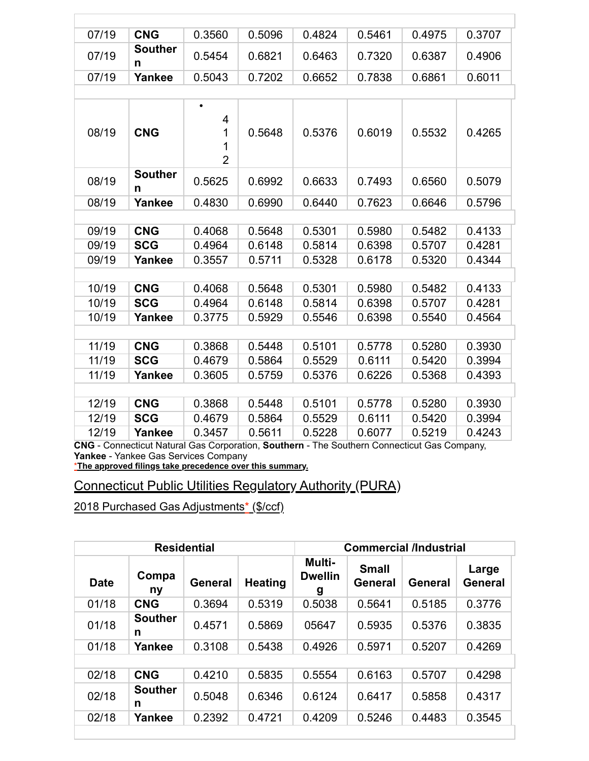| 07/19 | <b>CNG</b>          | 0.3560 | 0.5096 | 0.4824 | 0.5461 | 0.4975 | 0.3707 |
|-------|---------------------|--------|--------|--------|--------|--------|--------|
| 07/19 | <b>Souther</b><br>n | 0.5454 | 0.6821 | 0.6463 | 0.7320 | 0.6387 | 0.4906 |
| 07/19 | Yankee              | 0.5043 | 0.7202 | 0.6652 | 0.7838 | 0.6861 | 0.6011 |
|       |                     |        |        |        |        |        |        |

| 08/19 | <b>CNG</b>          | $\bullet$<br>4<br>1<br>1<br>$\overline{2}$ | 0.5648 | 0.5376 | 0.6019 | 0.5532 | 0.4265 |
|-------|---------------------|--------------------------------------------|--------|--------|--------|--------|--------|
| 08/19 | <b>Souther</b><br>n | 0.5625                                     | 0.6992 | 0.6633 | 0.7493 | 0.6560 | 0.5079 |
| 08/19 | Yankee              | 0.4830                                     | 0.6990 | 0.6440 | 0.7623 | 0.6646 | 0.5796 |
|       |                     |                                            |        |        |        |        |        |
| 09/19 | <b>CNG</b>          | 0.4068                                     | 0.5648 | 0.5301 | 0.5980 | 0.5482 | 0.4133 |
| 09/19 | <b>SCG</b>          | 0.4964                                     | 0.6148 | 0.5814 | 0.6398 | 0.5707 | 0.4281 |
| 09/19 | Yankee              | 0.3557                                     | 0.5711 | 0.5328 | 0.6178 | 0.5320 | 0.4344 |
|       |                     |                                            |        |        |        |        |        |
| 10/19 | <b>CNG</b>          | 0.4068                                     | 0.5648 | 0.5301 | 0.5980 | 0.5482 | 0.4133 |
| 10/19 | <b>SCG</b>          | 0.4964                                     | 0.6148 | 0.5814 | 0.6398 | 0.5707 | 0.4281 |
| 10/19 | Yankee              | 0.3775                                     | 0.5929 | 0.5546 | 0.6398 | 0.5540 | 0.4564 |
|       |                     |                                            |        |        |        |        |        |
| 11/19 | <b>CNG</b>          | 0.3868                                     | 0.5448 | 0.5101 | 0.5778 | 0.5280 | 0.3930 |
| 11/19 | <b>SCG</b>          | 0.4679                                     | 0.5864 | 0.5529 | 0.6111 | 0.5420 | 0.3994 |
| 11/19 | Yankee              | 0.3605                                     | 0.5759 | 0.5376 | 0.6226 | 0.5368 | 0.4393 |
|       |                     |                                            |        |        |        |        |        |
| 12/19 | <b>CNG</b>          | 0.3868                                     | 0.5448 | 0.5101 | 0.5778 | 0.5280 | 0.3930 |
| 12/19 | <b>SCG</b>          | 0.4679                                     | 0.5864 | 0.5529 | 0.6111 | 0.5420 | 0.3994 |
| 12/19 | Yankee              | 0.3457                                     | 0.5611 | 0.5228 | 0.6077 | 0.5219 | 0.4243 |

\***The approved filings take precedence over this summary.**

## Connecticut Public Utilities Regulatory Authority (PURA)

|             | <b>Residential</b>  |                |                |                               | <b>Commercial /Industrial</b>  |         |                  |  |
|-------------|---------------------|----------------|----------------|-------------------------------|--------------------------------|---------|------------------|--|
| <b>Date</b> | Compa<br>ny         | <b>General</b> | <b>Heating</b> | Multi-<br><b>Dwellin</b><br>g | <b>Small</b><br><b>General</b> | General | Large<br>General |  |
| 01/18       | <b>CNG</b>          | 0.3694         | 0.5319         | 0.5038                        | 0.5641                         | 0.5185  | 0.3776           |  |
| 01/18       | <b>Souther</b><br>n | 0.4571         | 0.5869         | 05647                         | 0.5935                         | 0.5376  | 0.3835           |  |
| 01/18       | Yankee              | 0.3108         | 0.5438         | 0.4926                        | 0.5971                         | 0.5207  | 0.4269           |  |
|             |                     |                |                |                               |                                |         |                  |  |
| 02/18       | <b>CNG</b>          | 0.4210         | 0.5835         | 0.5554                        | 0.6163                         | 0.5707  | 0.4298           |  |
| 02/18       | <b>Souther</b><br>n | 0.5048         | 0.6346         | 0.6124                        | 0.6417                         | 0.5858  | 0.4317           |  |
| 02/18       | Yankee              | 0.2392         | 0.4721         | 0.4209                        | 0.5246                         | 0.4483  | 0.3545           |  |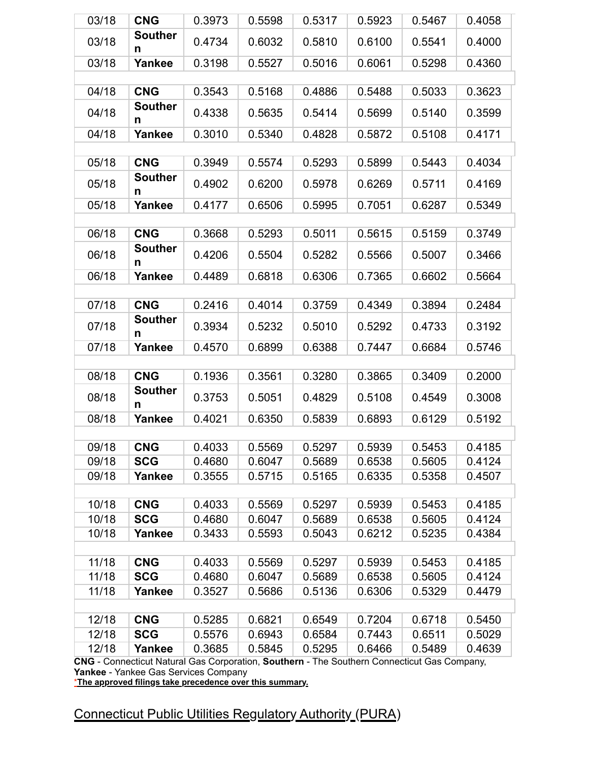| 03/18 | <b>CNG</b>          | 0.3973 | 0.5598         | 0.5317 | 0.5923 | 0.5467 | 0.4058 |  |  |  |
|-------|---------------------|--------|----------------|--------|--------|--------|--------|--|--|--|
| 03/18 | <b>Souther</b><br>n | 0.4734 | 0.6032         | 0.5810 | 0.6100 | 0.5541 | 0.4000 |  |  |  |
| 03/18 | Yankee              | 0.3198 | 0.5527         | 0.5016 | 0.6061 | 0.5298 | 0.4360 |  |  |  |
|       |                     |        |                |        |        |        |        |  |  |  |
| 04/18 | <b>CNG</b>          | 0.3543 | 0.5168         | 0.4886 | 0.5488 | 0.5033 | 0.3623 |  |  |  |
| 04/18 | <b>Souther</b><br>n | 0.4338 | 0.5635         | 0.5414 | 0.5699 | 0.5140 | 0.3599 |  |  |  |
| 04/18 | Yankee              | 0.3010 | 0.5340         | 0.4828 | 0.5872 | 0.5108 | 0.4171 |  |  |  |
|       |                     |        |                |        |        |        |        |  |  |  |
| 05/18 | <b>CNG</b>          | 0.3949 | 0.5574         | 0.5293 | 0.5899 | 0.5443 | 0.4034 |  |  |  |
| 05/18 | <b>Souther</b><br>n | 0.4902 | 0.6200         | 0.5978 | 0.6269 | 0.5711 | 0.4169 |  |  |  |
| 05/18 | Yankee              | 0.4177 | 0.6506         | 0.5995 | 0.7051 | 0.6287 | 0.5349 |  |  |  |
|       |                     |        |                |        |        |        |        |  |  |  |
| 06/18 | <b>CNG</b>          | 0.3668 | 0.5293         | 0.5011 | 0.5615 | 0.5159 | 0.3749 |  |  |  |
| 06/18 | <b>Souther</b><br>n | 0.4206 | 0.5504         | 0.5282 | 0.5566 | 0.5007 | 0.3466 |  |  |  |
| 06/18 | Yankee              | 0.4489 | 0.6818         | 0.6306 | 0.7365 | 0.6602 | 0.5664 |  |  |  |
|       |                     |        |                |        |        |        |        |  |  |  |
| 07/18 | <b>CNG</b>          | 0.2416 | 0.4014         | 0.3759 | 0.4349 | 0.3894 | 0.2484 |  |  |  |
| 07/18 | <b>Souther</b><br>n | 0.3934 | 0.5232         | 0.5010 | 0.5292 | 0.4733 | 0.3192 |  |  |  |
| 07/18 | Yankee              | 0.4570 | 0.6899         | 0.6388 | 0.7447 | 0.6684 | 0.5746 |  |  |  |
|       |                     |        |                |        |        |        |        |  |  |  |
| 08/18 | <b>CNG</b>          | 0.1936 | 0.3561         | 0.3280 | 0.3865 | 0.3409 | 0.2000 |  |  |  |
| 08/18 | <b>Souther</b><br>n | 0.3753 | 0.5051         | 0.4829 | 0.5108 | 0.4549 | 0.3008 |  |  |  |
| 08/18 | Yankee              | 0.4021 | 0.6350         | 0.5839 | 0.6893 | 0.6129 | 0.5192 |  |  |  |
|       |                     |        |                |        |        |        |        |  |  |  |
| 09/18 | <b>CNG</b>          | 0.4033 | $\vert$ 0.5569 | 0.5297 | 0.5939 | 0.5453 | 0.4185 |  |  |  |
| 09/18 | <b>SCG</b>          | 0.4680 | 0.6047         | 0.5689 | 0.6538 | 0.5605 | 0.4124 |  |  |  |
| 09/18 | Yankee              | 0.3555 | 0.5715         | 0.5165 | 0.6335 | 0.5358 | 0.4507 |  |  |  |
| 10/18 | <b>CNG</b>          | 0.4033 | 0.5569         | 0.5297 | 0.5939 | 0.5453 | 0.4185 |  |  |  |
| 10/18 | <b>SCG</b>          | 0.4680 | 0.6047         | 0.5689 | 0.6538 | 0.5605 | 0.4124 |  |  |  |
| 10/18 | Yankee              | 0.3433 | 0.5593         | 0.5043 | 0.6212 | 0.5235 | 0.4384 |  |  |  |
|       |                     |        |                |        |        |        |        |  |  |  |
| 11/18 | <b>CNG</b>          | 0.4033 | 0.5569         | 0.5297 | 0.5939 | 0.5453 | 0.4185 |  |  |  |
| 11/18 | <b>SCG</b>          | 0.4680 | 0.6047         | 0.5689 | 0.6538 | 0.5605 | 0.4124 |  |  |  |
| 11/18 | Yankee              | 0.3527 | 0.5686         | 0.5136 | 0.6306 | 0.5329 | 0.4479 |  |  |  |
|       |                     |        |                |        |        |        |        |  |  |  |
| 12/18 | <b>CNG</b>          | 0.5285 | 0.6821         | 0.6549 | 0.7204 | 0.6718 | 0.5450 |  |  |  |
| 12/18 | <b>SCG</b>          | 0.5576 | 0.6943         | 0.6584 | 0.7443 | 0.6511 | 0.5029 |  |  |  |
| 12/18 | Yankee              | 0.3685 | 0.5845         | 0.5295 | 0.6466 | 0.5489 | 0.4639 |  |  |  |
|       |                     |        |                |        |        |        |        |  |  |  |

\***The approved filings take precedence over this summary.**

Connecticut Public Utilities Regulatory Authority (PURA)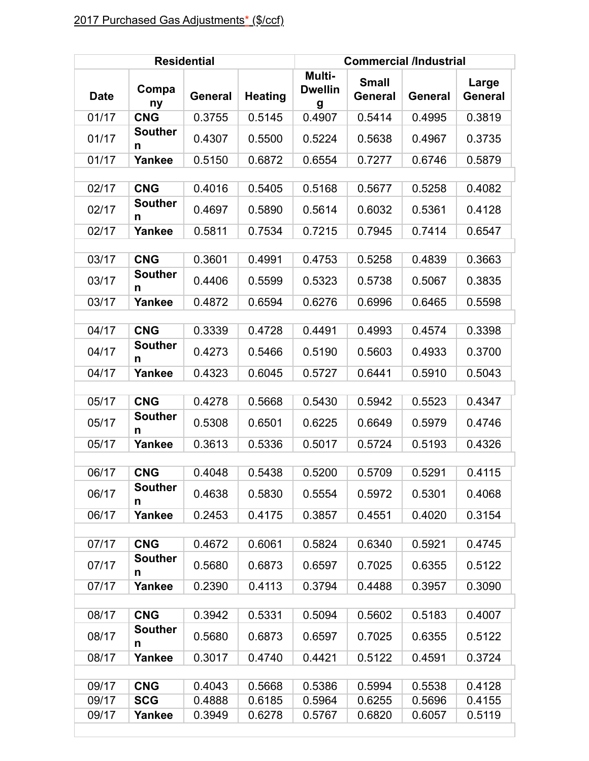|             |                              | <b>Residential</b> |                | <b>Commercial /Industrial</b> |                                |         |                  |  |
|-------------|------------------------------|--------------------|----------------|-------------------------------|--------------------------------|---------|------------------|--|
| <b>Date</b> | Compa<br>ny                  | General            | <b>Heating</b> | Multi-<br><b>Dwellin</b><br>g | <b>Small</b><br><b>General</b> | General | Large<br>General |  |
| 01/17       | <b>CNG</b>                   | 0.3755             | 0.5145         | 0.4907                        | 0.5414                         | 0.4995  | 0.3819           |  |
| 01/17       | <b>Souther</b><br>n          | 0.4307             | 0.5500         | 0.5224                        | 0.5638                         | 0.4967  | 0.3735           |  |
| 01/17       | Yankee                       | 0.5150             | 0.6872         | 0.6554                        | 0.7277                         | 0.6746  | 0.5879           |  |
|             |                              |                    |                |                               |                                |         |                  |  |
| 02/17       | <b>CNG</b>                   | 0.4016             | 0.5405         | 0.5168                        | 0.5677                         | 0.5258  | 0.4082           |  |
| 02/17       | <b>Souther</b><br>n          | 0.4697             | 0.5890         | 0.5614                        | 0.6032                         | 0.5361  | 0.4128           |  |
| 02/17       | Yankee                       | 0.5811             | 0.7534         | 0.7215                        | 0.7945                         | 0.7414  | 0.6547           |  |
|             |                              |                    |                |                               |                                |         |                  |  |
| 03/17       | <b>CNG</b>                   | 0.3601             | 0.4991         | 0.4753                        | 0.5258                         | 0.4839  | 0.3663           |  |
| 03/17       | <b>Souther</b><br>n          | 0.4406             | 0.5599         | 0.5323                        | 0.5738                         | 0.5067  | 0.3835           |  |
| 03/17       | Yankee                       | 0.4872             | 0.6594         | 0.6276                        | 0.6996                         | 0.6465  | 0.5598           |  |
|             |                              |                    |                |                               |                                |         |                  |  |
| 04/17       | <b>CNG</b>                   | 0.3339             | 0.4728         | 0.4491                        | 0.4993                         | 0.4574  | 0.3398           |  |
| 04/17       | <b>Souther</b><br>n          | 0.4273             | 0.5466         | 0.5190                        | 0.5603                         | 0.4933  | 0.3700           |  |
| 04/17       | Yankee                       | 0.4323             | 0.6045         | 0.5727                        | 0.6441                         | 0.5910  | 0.5043           |  |
|             |                              |                    |                |                               |                                |         |                  |  |
| 05/17       | <b>CNG</b>                   | 0.4278             | 0.5668         | 0.5430                        | 0.5942                         | 0.5523  | 0.4347           |  |
| 05/17       | <b>Souther</b><br>n          | 0.5308             | 0.6501         | 0.6225                        | 0.6649                         | 0.5979  | 0.4746           |  |
| 05/17       | Yankee                       | 0.3613             | 0.5336         | 0.5017                        | 0.5724                         | 0.5193  | 0.4326           |  |
|             |                              |                    |                |                               |                                |         |                  |  |
| 06/17       | <b>CNG</b>                   | 0.4048             | 0.5438         | 0.5200                        | 0.5709                         | 0.5291  | 0.4115           |  |
| 06/17       | Souther<br>n                 | 0.4638             | 0.5830         | 0.5554                        | 0.5972                         | 0.5301  | 0.4068           |  |
| 06/17       | Yankee                       | 0.2453             | 0.4175         | 0.3857                        | 0.4551                         | 0.4020  | 0.3154           |  |
|             |                              |                    |                |                               |                                |         |                  |  |
| 07/17       | <b>CNG</b><br><b>Souther</b> | 0.4672             | 0.6061         | 0.5824                        | 0.6340                         | 0.5921  | 0.4745           |  |
| 07/17       | n                            | 0.5680             | 0.6873         | 0.6597                        | 0.7025                         | 0.6355  | 0.5122           |  |
| 07/17       | Yankee                       | 0.2390             | 0.4113         | 0.3794                        | 0.4488                         | 0.3957  | 0.3090           |  |
|             |                              |                    |                |                               |                                |         |                  |  |
| 08/17       | <b>CNG</b>                   | 0.3942             | 0.5331         | 0.5094                        | 0.5602                         | 0.5183  | 0.4007           |  |
| 08/17       | <b>Souther</b><br>n          | 0.5680             | 0.6873         | 0.6597                        | 0.7025                         | 0.6355  | 0.5122           |  |
| 08/17       | Yankee                       | 0.3017             | 0.4740         | 0.4421                        | 0.5122                         | 0.4591  | 0.3724           |  |
|             |                              |                    |                |                               |                                |         |                  |  |
| 09/17       | <b>CNG</b>                   | 0.4043             | 0.5668         | 0.5386                        | 0.5994                         | 0.5538  | 0.4128           |  |
| 09/17       | <b>SCG</b>                   | 0.4888             | 0.6185         | 0.5964                        | 0.6255                         | 0.5696  | 0.4155           |  |
| 09/17       | Yankee                       | 0.3949             | 0.6278         | 0.5767                        | 0.6820                         | 0.6057  | 0.5119           |  |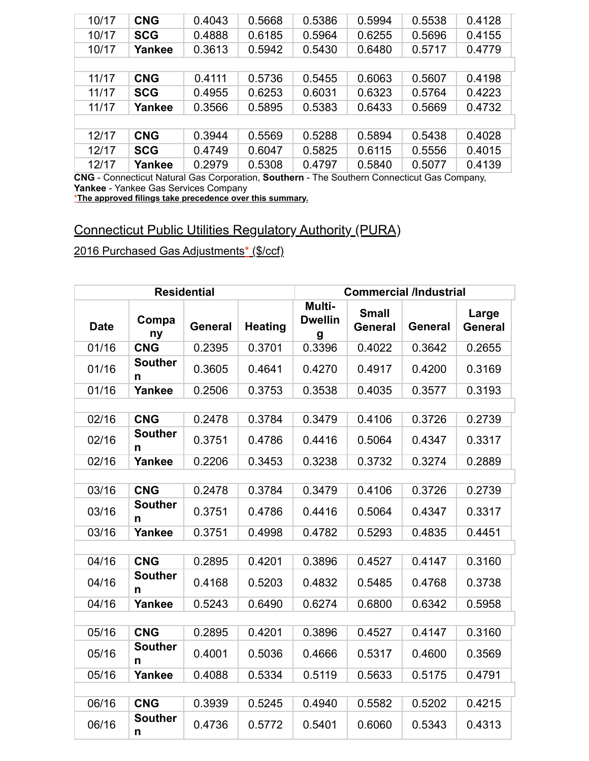| 10/17 | <b>CNG</b> | 0.4043 | 0.5668 | 0.5386 | 0.5994 | 0.5538 | 0.4128 |
|-------|------------|--------|--------|--------|--------|--------|--------|
| 10/17 | <b>SCG</b> | 0.4888 | 0.6185 | 0.5964 | 0.6255 | 0.5696 | 0.4155 |
| 10/17 | Yankee     | 0.3613 | 0.5942 | 0.5430 | 0.6480 | 0.5717 | 0.4779 |
|       |            |        |        |        |        |        |        |
| 11/17 | <b>CNG</b> | 0.4111 | 0.5736 | 0.5455 | 0.6063 | 0.5607 | 0.4198 |
| 11/17 | <b>SCG</b> | 0.4955 | 0.6253 | 0.6031 | 0.6323 | 0.5764 | 0.4223 |
| 11/17 | Yankee     | 0.3566 | 0.5895 | 0.5383 | 0.6433 | 0.5669 | 0.4732 |
|       |            |        |        |        |        |        |        |
| 12/17 | <b>CNG</b> | 0.3944 | 0.5569 | 0.5288 | 0.5894 | 0.5438 | 0.4028 |
| 12/17 | <b>SCG</b> | 0.4749 | 0.6047 | 0.5825 | 0.6115 | 0.5556 | 0.4015 |
| 12/17 | Yankee     | 0.2979 | 0.5308 | 0.4797 | 0.5840 | 0.5077 | 0.4139 |

\***The approved filings take precedence over this summary.**

# Connecticut Public Utilities Regulatory Authority (PURA)

|             |                     | <b>Residential</b> |                | <b>Commercial /Industrial</b> |                                |                |                         |  |
|-------------|---------------------|--------------------|----------------|-------------------------------|--------------------------------|----------------|-------------------------|--|
| <b>Date</b> | Compa<br>ny         | General            | <b>Heating</b> | Multi-<br><b>Dwellin</b><br>g | <b>Small</b><br><b>General</b> | <b>General</b> | Large<br><b>General</b> |  |
| 01/16       | <b>CNG</b>          | 0.2395             | 0.3701         | 0.3396                        | 0.4022                         | 0.3642         | 0.2655                  |  |
| 01/16       | <b>Souther</b><br>n | 0.3605             | 0.4641         | 0.4270                        | 0.4917                         | 0.4200         | 0.3169                  |  |
| 01/16       | <b>Yankee</b>       | 0.2506             | 0.3753         | 0.3538                        | 0.4035                         | 0.3577         | 0.3193                  |  |
|             |                     |                    |                |                               |                                |                |                         |  |
| 02/16       | <b>CNG</b>          | 0.2478             | 0.3784         | 0.3479                        | 0.4106                         | 0.3726         | 0.2739                  |  |
| 02/16       | <b>Souther</b><br>n | 0.3751             | 0.4786         | 0.4416                        | 0.5064                         | 0.4347         | 0.3317                  |  |
| 02/16       | Yankee              | 0.2206             | 0.3453         | 0.3238                        | 0.3732                         | 0.3274         | 0.2889                  |  |
|             |                     |                    |                |                               |                                |                |                         |  |
| 03/16       | <b>CNG</b>          | 0.2478             | 0.3784         | 0.3479                        | 0.4106                         | 0.3726         | 0.2739                  |  |
| 03/16       | <b>Souther</b><br>n | 0.3751             | 0.4786         | 0.4416                        | 0.5064                         | 0.4347         | 0.3317                  |  |
| 03/16       | Yankee              | 0.3751             | 0.4998         | 0.4782                        | 0.5293                         | 0.4835         | 0.4451                  |  |
|             |                     |                    |                |                               |                                |                |                         |  |
| 04/16       | <b>CNG</b>          | 0.2895             | 0.4201         | 0.3896                        | 0.4527                         | 0.4147         | 0.3160                  |  |
| 04/16       | <b>Souther</b><br>n | 0.4168             | 0.5203         | 0.4832                        | 0.5485                         | 0.4768         | 0.3738                  |  |
| 04/16       | Yankee              | 0.5243             | 0.6490         | 0.6274                        | 0.6800                         | 0.6342         | 0.5958                  |  |
|             |                     |                    |                |                               |                                |                |                         |  |
| 05/16       | <b>CNG</b>          | 0.2895             | 0.4201         | 0.3896                        | 0.4527                         | 0.4147         | 0.3160                  |  |
| 05/16       | <b>Souther</b><br>n | 0.4001             | 0.5036         | 0.4666                        | 0.5317                         | 0.4600         | 0.3569                  |  |
| 05/16       | <b>Yankee</b>       | 0.4088             | 0.5334         | 0.5119                        | 0.5633                         | 0.5175         | 0.4791                  |  |
|             |                     |                    |                |                               |                                |                |                         |  |
| 06/16       | <b>CNG</b>          | 0.3939             | 0.5245         | 0.4940                        | 0.5582                         | 0.5202         | 0.4215                  |  |
| 06/16       | <b>Souther</b><br>n | 0.4736             | 0.5772         | 0.5401                        | 0.6060                         | 0.5343         | 0.4313                  |  |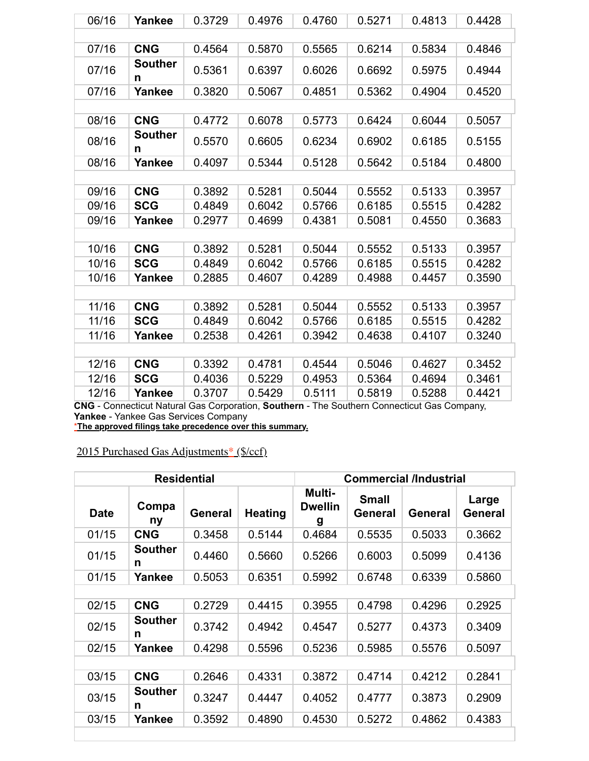| 06/16 | Yankee              | 0.3729 | 0.4976 | 0.4760 | 0.5271 | 0.4813 | 0.4428 |
|-------|---------------------|--------|--------|--------|--------|--------|--------|
|       |                     |        |        |        |        |        |        |
| 07/16 | <b>CNG</b>          | 0.4564 | 0.5870 | 0.5565 | 0.6214 | 0.5834 | 0.4846 |
| 07/16 | <b>Souther</b><br>n | 0.5361 | 0.6397 | 0.6026 | 0.6692 | 0.5975 | 0.4944 |
| 07/16 | Yankee              | 0.3820 | 0.5067 | 0.4851 | 0.5362 | 0.4904 | 0.4520 |
|       |                     |        |        |        |        |        |        |
| 08/16 | <b>CNG</b>          | 0.4772 | 0.6078 | 0.5773 | 0.6424 | 0.6044 | 0.5057 |
| 08/16 | <b>Souther</b><br>n | 0.5570 | 0.6605 | 0.6234 | 0.6902 | 0.6185 | 0.5155 |
| 08/16 | Yankee              | 0.4097 | 0.5344 | 0.5128 | 0.5642 | 0.5184 | 0.4800 |
|       |                     |        |        |        |        |        |        |
| 09/16 | <b>CNG</b>          | 0.3892 | 0.5281 | 0.5044 | 0.5552 | 0.5133 | 0.3957 |
| 09/16 | <b>SCG</b>          | 0.4849 | 0.6042 | 0.5766 | 0.6185 | 0.5515 | 0.4282 |
| 09/16 | Yankee              | 0.2977 | 0.4699 | 0.4381 | 0.5081 | 0.4550 | 0.3683 |
|       |                     |        |        |        |        |        |        |
| 10/16 | <b>CNG</b>          | 0.3892 | 0.5281 | 0.5044 | 0.5552 | 0.5133 | 0.3957 |
| 10/16 | <b>SCG</b>          | 0.4849 | 0.6042 | 0.5766 | 0.6185 | 0.5515 | 0.4282 |
| 10/16 | Yankee              | 0.2885 | 0.4607 | 0.4289 | 0.4988 | 0.4457 | 0.3590 |
|       |                     |        |        |        |        |        |        |
| 11/16 | <b>CNG</b>          | 0.3892 | 0.5281 | 0.5044 | 0.5552 | 0.5133 | 0.3957 |
| 11/16 | <b>SCG</b>          | 0.4849 | 0.6042 | 0.5766 | 0.6185 | 0.5515 | 0.4282 |
| 11/16 | Yankee              | 0.2538 | 0.4261 | 0.3942 | 0.4638 | 0.4107 | 0.3240 |
|       |                     |        |        |        |        |        |        |
| 12/16 | <b>CNG</b>          | 0.3392 | 0.4781 | 0.4544 | 0.5046 | 0.4627 | 0.3452 |
| 12/16 | <b>SCG</b>          | 0.4036 | 0.5229 | 0.4953 | 0.5364 | 0.4694 | 0.3461 |
| 12/16 | Yankee              | 0.3707 | 0.5429 | 0.5111 | 0.5819 | 0.5288 | 0.4421 |

\***The approved filings take precedence over this summary.**

| <b>Residential</b> |                     |                |                | <b>Commercial /Industrial</b>        |                                |                |                  |  |
|--------------------|---------------------|----------------|----------------|--------------------------------------|--------------------------------|----------------|------------------|--|
| <b>Date</b>        | Compa<br>ny         | <b>General</b> | <b>Heating</b> | <b>Multi-</b><br><b>Dwellin</b><br>g | <b>Small</b><br><b>General</b> | <b>General</b> | Large<br>General |  |
| 01/15              | <b>CNG</b>          | 0.3458         | 0.5144         | 0.4684                               | 0.5535                         | 0.5033         | 0.3662           |  |
| 01/15              | <b>Souther</b><br>n | 0.4460         | 0.5660         | 0.5266                               | 0.6003                         | 0.5099         | 0.4136           |  |
| 01/15              | Yankee              | 0.5053         | 0.6351         | 0.5992                               | 0.6748                         | 0.6339         | 0.5860           |  |
|                    |                     |                |                |                                      |                                |                |                  |  |
| 02/15              | <b>CNG</b>          | 0.2729         | 0.4415         | 0.3955                               | 0.4798                         | 0.4296         | 0.2925           |  |
| 02/15              | <b>Souther</b><br>n | 0.3742         | 0.4942         | 0.4547                               | 0.5277                         | 0.4373         | 0.3409           |  |
| 02/15              | Yankee              | 0.4298         | 0.5596         | 0.5236                               | 0.5985                         | 0.5576         | 0.5097           |  |
|                    |                     |                |                |                                      |                                |                |                  |  |
| 03/15              | <b>CNG</b>          | 0.2646         | 0.4331         | 0.3872                               | 0.4714                         | 0.4212         | 0.2841           |  |
| 03/15              | <b>Souther</b><br>n | 0.3247         | 0.4447         | 0.4052                               | 0.4777                         | 0.3873         | 0.2909           |  |
| 03/15              | Yankee              | 0.3592         | 0.4890         | 0.4530                               | 0.5272                         | 0.4862         | 0.4383           |  |
|                    |                     |                |                |                                      |                                |                |                  |  |